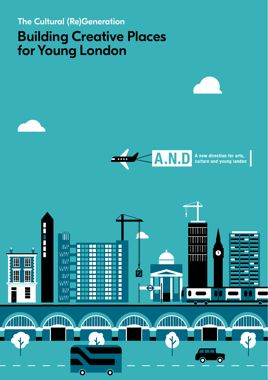# The Cultural (Re)Generation Building Creative Places for Young London



A new direction for arts,<br>culture and young london

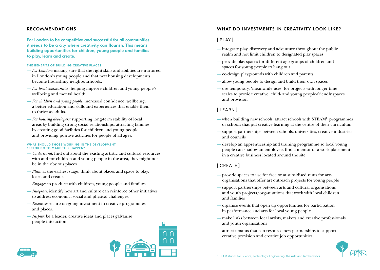### RECOMMENDATIONS

For London to be competitive and successful for all communities, it needs to be a city where creativity can flourish. This means building opportunities for children, young people and families to play, learn and create.

### THE BENEFITS OF BUILDING CREATIVE PLACES

- *For London:* making sure that the right skills and abilities are nurtured in London's young people and that new housing developments become flourishing neighbourhoods.
- *For local communities:* helping improve children and young people's wellbeing and mental health.
- *For children and young people:* increased confidence, wellbeing, a better education and skills and experiences that enable them to thrive as adults.
- *For housing developers:* supporting long-term stability of local areas by building strong social relationships, attracting families by creating good facilities for children and young people, and providing positive activities for people of all ages.

#### WHAT SHOULD THOSE WORKING IN THE DEVELOPMENT SECTOR DO TO MAKE THIS HAPPEN?

- *Understand:* find out about the existing artistic and cultural resources with and for children and young people in the area, they might not be in the obvious places.
- *Plan:* at the earliest stage, think about places and space to play, learn and create.
- *Engage:* co-produce with children, young people and families.
- *Integrate:* identify how art and culture can reinforce other initiatives to address economic, social and physical challenges.
- *Resource:* secure on-going investment in creative programmes and places.
- *Inspire:* be a leader, creative ideas and places galvanise people into action.



### WHAT DO INVESTMENTS IN CREATIVITY LOOK LIKE?

## [ PLAY ]

- integrate play, discovery and adventure throughout the public realm and not limit children to designated play spaces
- provide play spaces for different age groups of children and spaces for young people to hang out
- co-design playgrounds with children and parents
- allow young people to design and build their own spaces
- use temporary, 'meanwhile uses' for projects with longer time scales to provide creative, child- and young people-friendly spaces and provision

### [ LEARN ]

- when building new schools, attract schools with STEAM<sup>1</sup> programmes or schools that put creative learning at the centre of their curriculum
- support partnerships between schools, universities, creative industries and councils
- develop an apprenticeship and training programme so local young people can shadow an employee, find a mentor or a work placement in a creative business located around the site

# [ CREATE ]

- provide spaces to use for free or at subsidised rents for arts organisations that offer art outreach projects for young people
- support partnerships between arts and cultural organisations and youth projects/organisations that work with local children and families
- organise events that open up opportunities for participation in performance and arts for local young people
- make links between local artists, makers and creative professionals and youth organisations
- attract tenants that can resource new partnerships to support creative provision and creative job opportunities